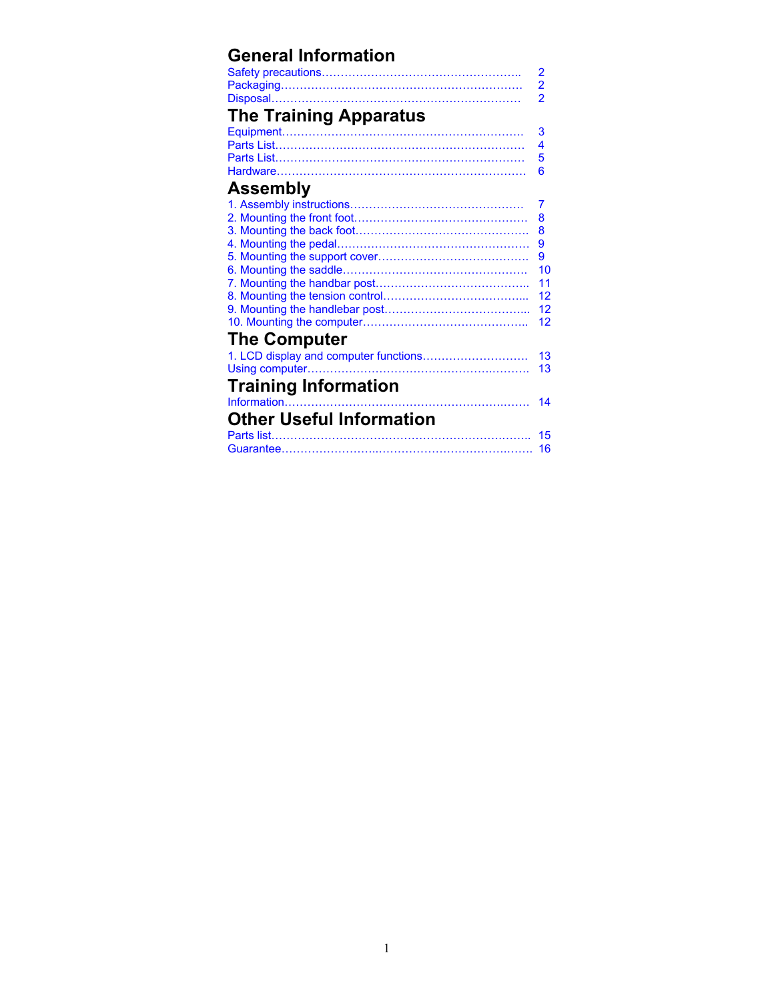# **General Information**

|                                       | $\overline{2}$          |
|---------------------------------------|-------------------------|
|                                       | $\overline{\mathbf{2}}$ |
|                                       | $\overline{2}$          |
| <b>The Training Apparatus</b>         |                         |
|                                       | 3                       |
|                                       | 4                       |
|                                       | 5                       |
|                                       | 6                       |
| <b>Assembly</b>                       |                         |
|                                       | 7                       |
|                                       | 8                       |
|                                       | 8                       |
|                                       | 9                       |
|                                       | 9                       |
|                                       | 10                      |
|                                       | 11                      |
|                                       | 12                      |
|                                       | 12                      |
|                                       | 12                      |
| <b>The Computer</b>                   |                         |
| 1. LCD display and computer functions | 13                      |
|                                       | 13                      |
| <b>Training Information</b>           |                         |
|                                       | 14                      |
| <b>Other Useful Information</b>       |                         |
|                                       | 15                      |
|                                       | 16                      |
|                                       |                         |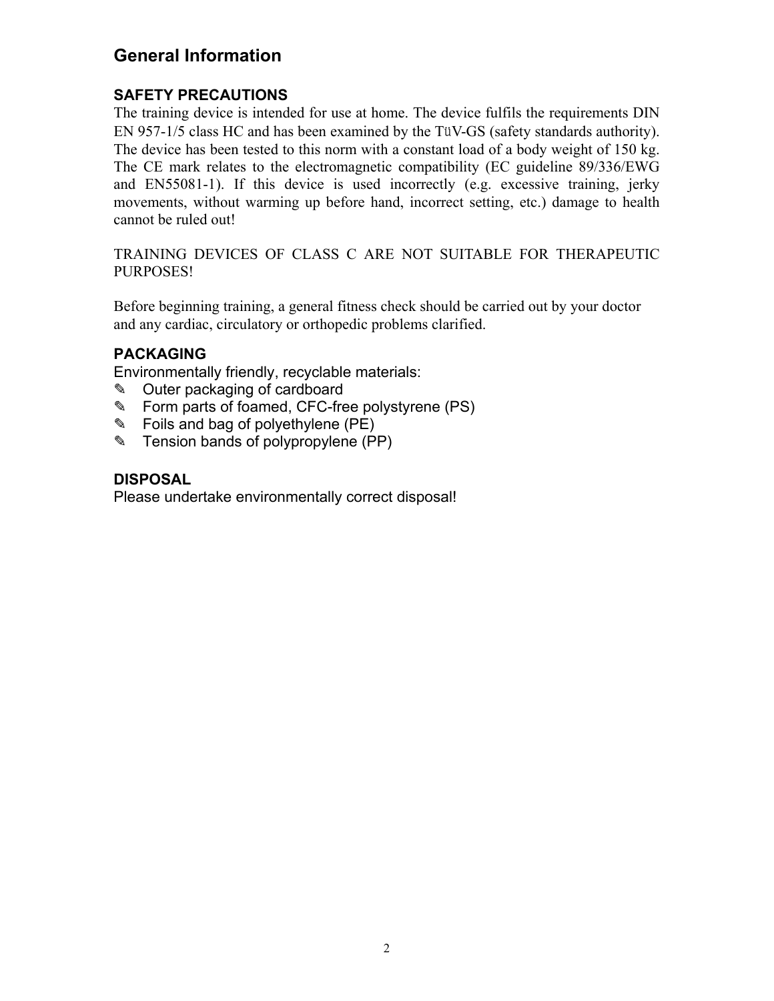## **General Information**

## **SAFETY PRECAUTIONS**

The training device is intended for use at home. The device fulfils the requirements DIN EN 957-1/5 class HC and has been examined by the TüV-GS (safety standards authority). The device has been tested to this norm with a constant load of a body weight of 150 kg. The CE mark relates to the electromagnetic compatibility (EC guideline 89/336/EWG and EN55081-1). If this device is used incorrectly (e.g. excessive training, jerky movements, without warming up before hand, incorrect setting, etc.) damage to health cannot be ruled out!

TRAINING DEVICES OF CLASS C ARE NOT SUITABLE FOR THERAPEUTIC PURPOSES!

Before beginning training, a general fitness check should be carried out by your doctor and any cardiac, circulatory or orthopedic problems clarified.

## **PACKAGING**

Environmentally friendly, recyclable materials:

- ✎ Outer packaging of cardboard
- ✎ Form parts of foamed, CFC-free polystyrene (PS)
- ✎ Foils and bag of polyethylene (PE)
- ✎ Tension bands of polypropylene (PP)

### **DISPOSAL**

Please undertake environmentally correct disposal!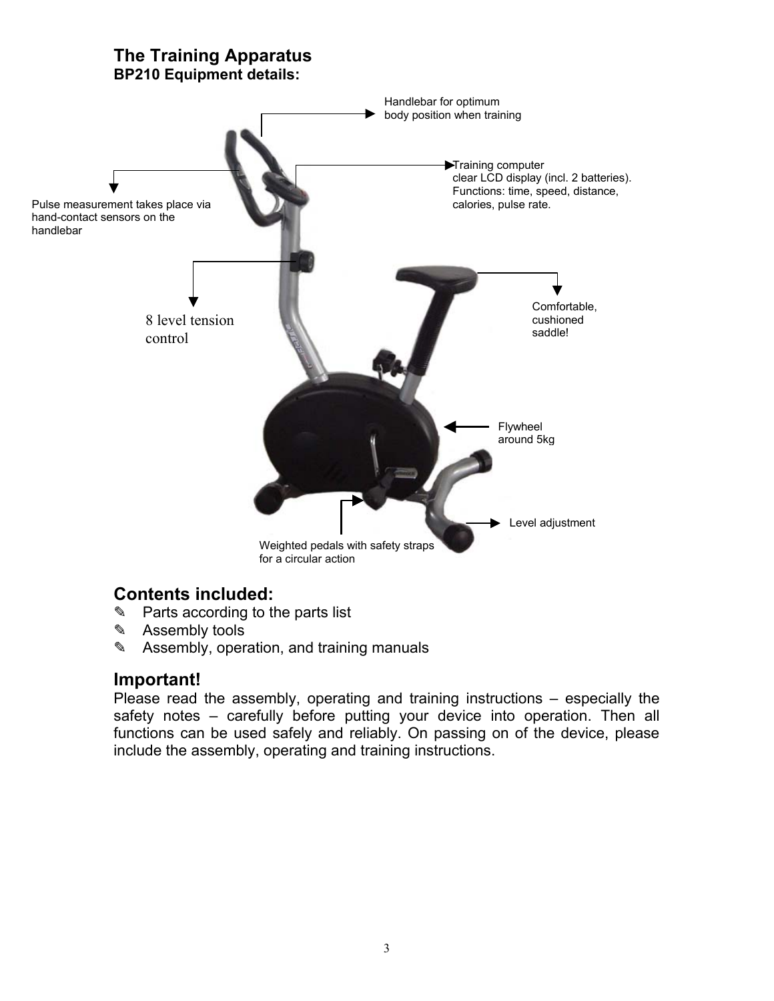

## **Contents included:**

- ✎ Parts according to the parts list
- ✎ Assembly tools
- ✎ Assembly, operation, and training manuals

## **Important!**

Please read the assembly, operating and training instructions – especially the safety notes – carefully before putting your device into operation. Then all functions can be used safely and reliably. On passing on of the device, please include the assembly, operating and training instructions.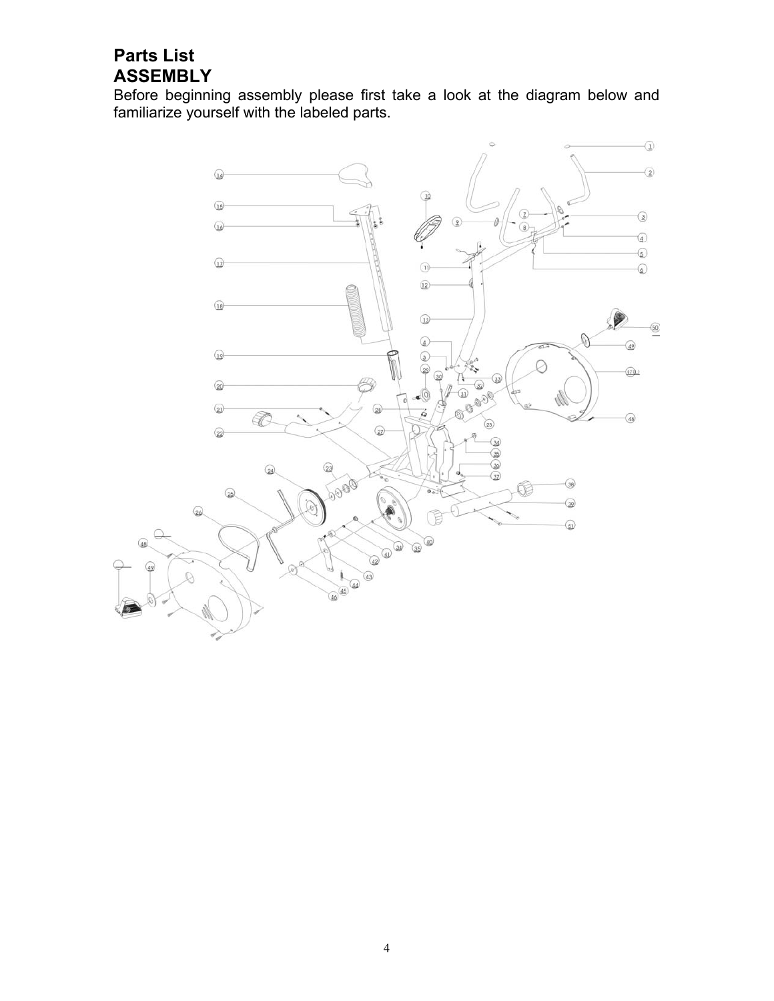## **Parts List ASSEMBLY**

Before beginning assembly please first take a look at the diagram below and familiarize yourself with the labeled parts.

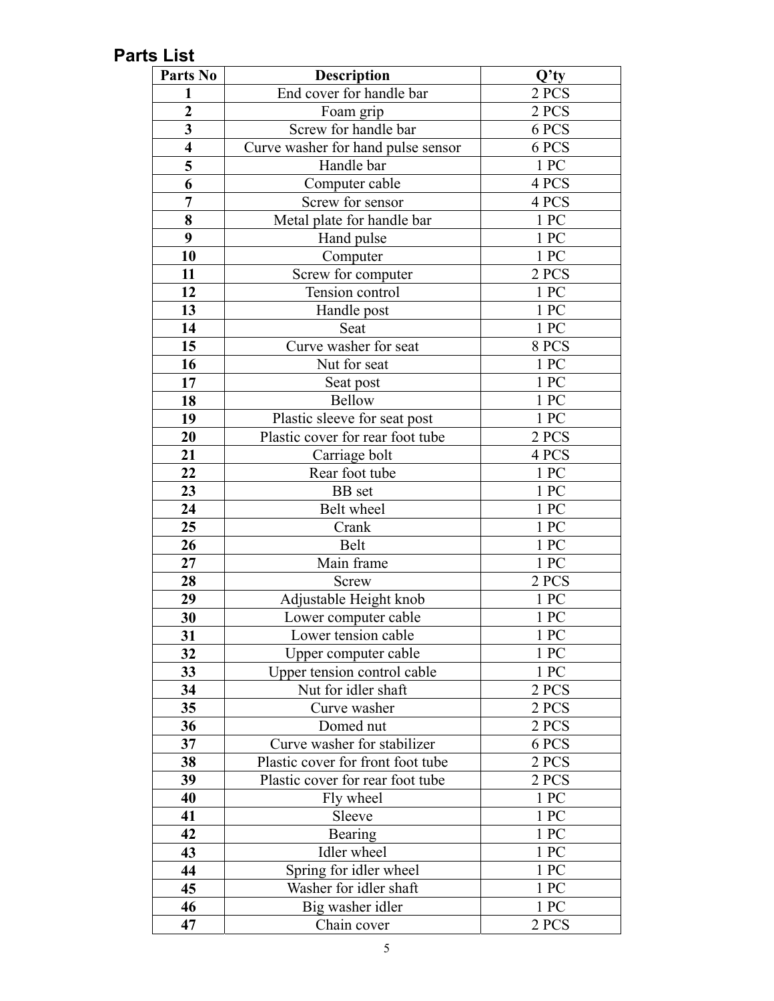# **Parts List**

| Parts No                | <b>Description</b>                 | $Q'$ ty            |
|-------------------------|------------------------------------|--------------------|
| 1                       | End cover for handle bar           | 2 PCS              |
| $\overline{2}$          | Foam grip                          | 2 PCS              |
| $\overline{\mathbf{3}}$ | Screw for handle bar               | 6 PCS              |
| $\overline{\mathbf{4}}$ | Curve washer for hand pulse sensor | 6 PCS              |
| 5                       | Handle bar                         | 1 PC               |
| 6                       | Computer cable                     | 4 PCS              |
| $\overline{7}$          | Screw for sensor                   | 4 PCS              |
| 8                       | Metal plate for handle bar         | 1 PC               |
| 9                       | Hand pulse                         | 1 PC               |
| 10                      | Computer                           | 1 PC               |
| 11                      | Screw for computer                 | 2 PCS              |
| 12                      | Tension control                    | $1 \, \mathrm{PC}$ |
| 13                      | Handle post                        | 1 PC               |
| 14                      | Seat                               | 1 PC               |
| 15                      | Curve washer for seat              | 8 PCS              |
| 16                      | Nut for seat                       | 1 PC               |
| 17                      | Seat post                          | 1PC                |
| 18                      | <b>Bellow</b>                      | 1 PC               |
| 19                      | Plastic sleeve for seat post       | 1 PC               |
| 20                      | Plastic cover for rear foot tube   | 2 PCS              |
| 21                      | Carriage bolt                      | 4 PCS              |
| 22                      | Rear foot tube                     | 1PC                |
| 23                      | <b>BB</b> set                      | 1PC                |
| 24                      | Belt wheel                         | 1PC                |
| 25                      | Crank                              | 1PC                |
| 26                      | Belt                               | 1 PC               |
| 27                      | Main frame                         | 1 PC               |
| 28                      | Screw                              | 2 PCS              |
| 29                      | Adjustable Height knob             | 1 PC               |
| 30                      | Lower computer cable               | 1PC                |
| 31                      | Lower tension cable                | 1PC                |
| 32                      | Upper computer cable               | 1 PC               |
| 33                      | Upper tension control cable        | $1\ \mathrm{PC}$   |
| 34                      | Nut for idler shaft                | 2 PCS              |
| 35 <sub>5</sub>         | Curve washer                       | 2 PCS              |
| 36                      | Domed nut                          | 2 PCS              |
| 37                      | Curve washer for stabilizer        | 6 PCS              |
| 38                      | Plastic cover for front foot tube  | 2 PCS              |
| 39                      | Plastic cover for rear foot tube   | 2 PCS              |
| 40                      | Fly wheel                          | 1 PC               |
| 41                      | Sleeve                             | 1PC                |
| 42                      | <b>Bearing</b>                     | 1 PC               |
| 43                      | Idler wheel                        | 1 PC               |
| 44                      | Spring for idler wheel             | 1 PC               |
| 45                      | Washer for idler shaft             | 1 PC               |
| 46                      | Big washer idler                   | 1PC                |
| 47                      | Chain cover                        | 2 PCS              |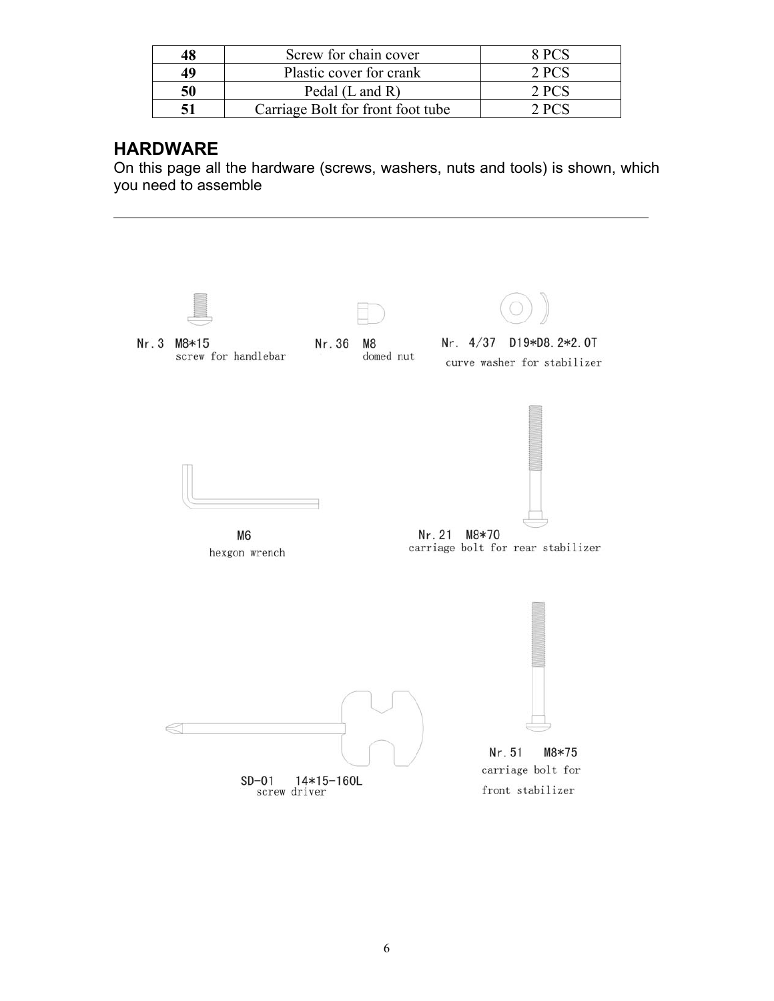| 48 | Screw for chain cover             | $8$ PCS |
|----|-----------------------------------|---------|
| 49 | Plastic cover for crank           | 2PCS    |
| 50 | Pedal $(L$ and $R)$               | 2PCS    |
|    | Carriage Bolt for front foot tube | 2PCS    |

## **HARDWARE**

On this page all the hardware (screws, washers, nuts and tools) is shown, which you need to assemble

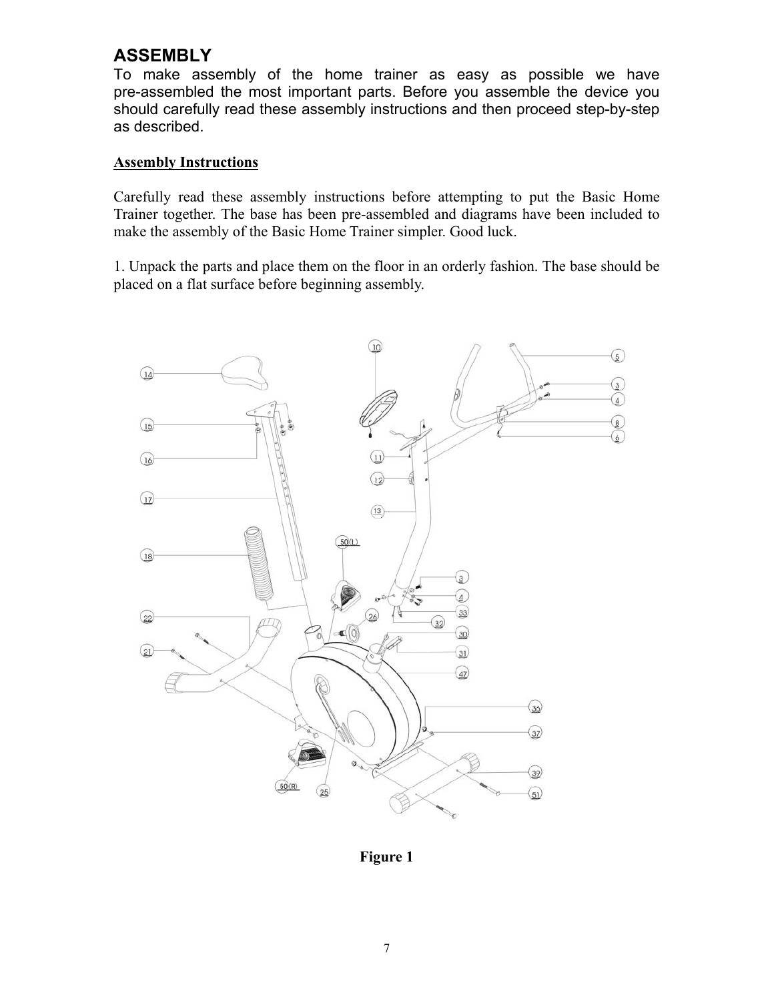## **ASSEMBLY**

To make assembly of the home trainer as easy as possible we have pre-assembled the most important parts. Before you assemble the device you should carefully read these assembly instructions and then proceed step-by-step as described.

#### **Assembly Instructions**

Carefully read these assembly instructions before attempting to put the Basic Home Trainer together. The base has been pre-assembled and diagrams have been included to make the assembly of the Basic Home Trainer simpler. Good luck.

1. Unpack the parts and place them on the floor in an orderly fashion. The base should be placed on a flat surface before beginning assembly.



**Figure 1**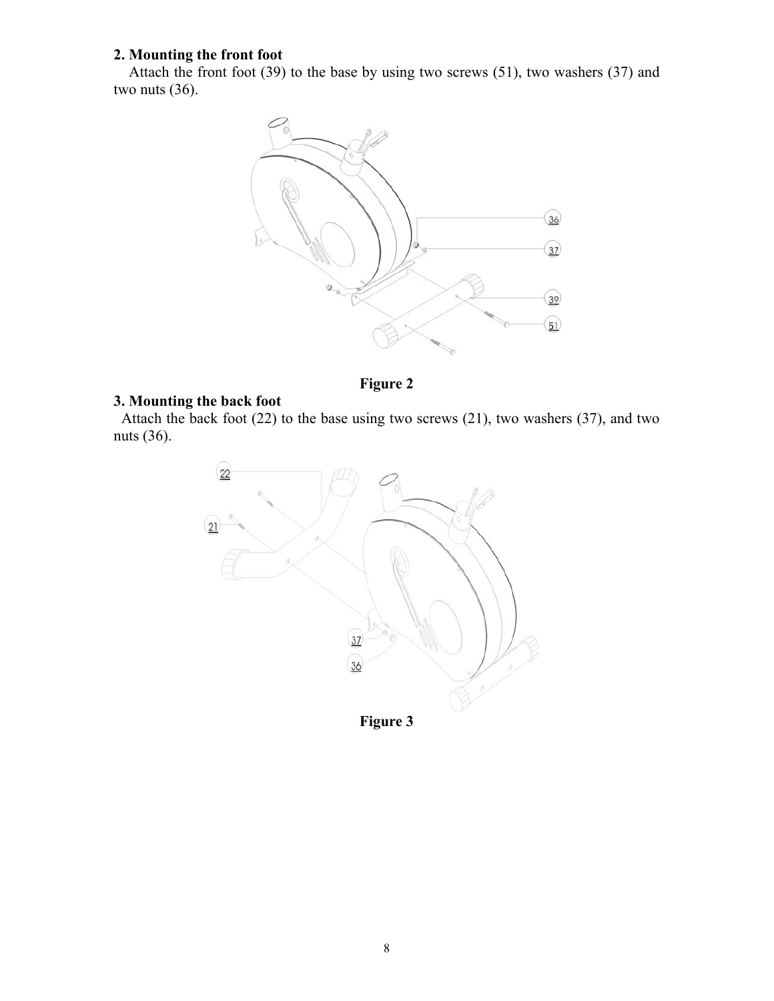## **2. Mounting the front foot**

Attach the front foot (39) to the base by using two screws (51), two washers (37) and two nuts (36).



**Figure 2** 

### **3. Mounting the back foot**

Attach the back foot  $(22)$  to the base using two screws  $(21)$ , two washers  $(37)$ , and two nuts (36).

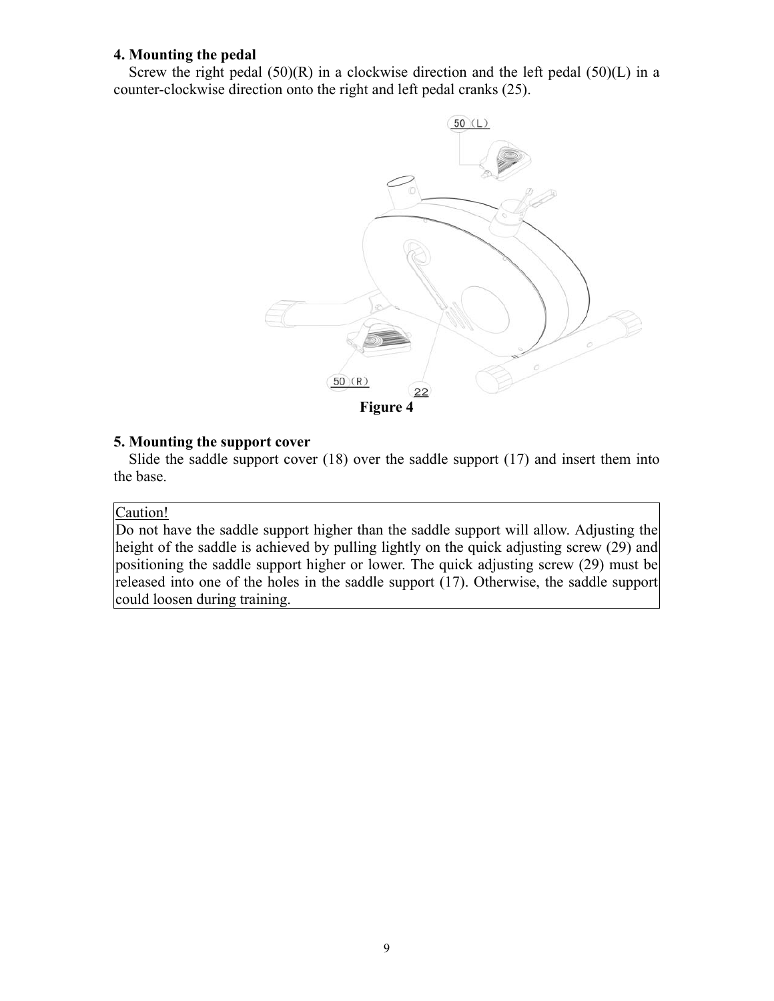#### **4. Mounting the pedal**

Screw the right pedal  $(50)(R)$  in a clockwise direction and the left pedal  $(50)(L)$  in a counter-clockwise direction onto the right and left pedal cranks (25).



#### **5. Mounting the support cover**

Slide the saddle support cover (18) over the saddle support (17) and insert them into the base.

#### Caution!

Do not have the saddle support higher than the saddle support will allow. Adjusting the height of the saddle is achieved by pulling lightly on the quick adjusting screw (29) and positioning the saddle support higher or lower. The quick adjusting screw (29) must be released into one of the holes in the saddle support (17). Otherwise, the saddle support could loosen during training.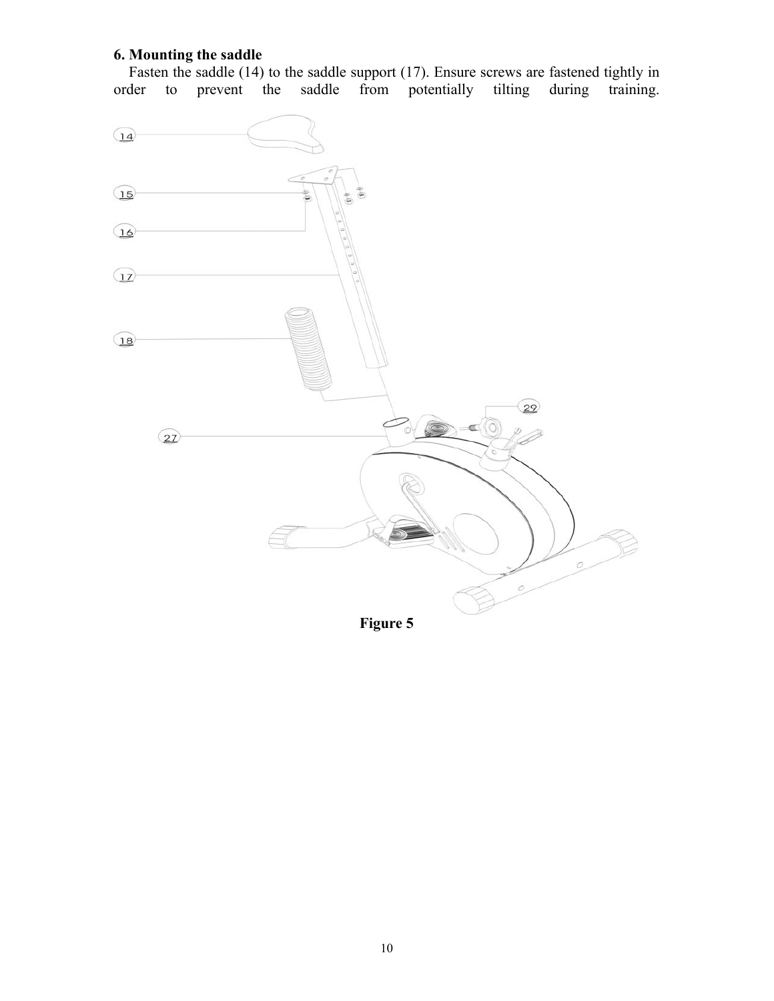### **6. Mounting the saddle**

Fasten the saddle (14) to the saddle support (17). Ensure screws are fastened tightly in order to prevent the saddle from potentially tilting during training.



**Figure 5**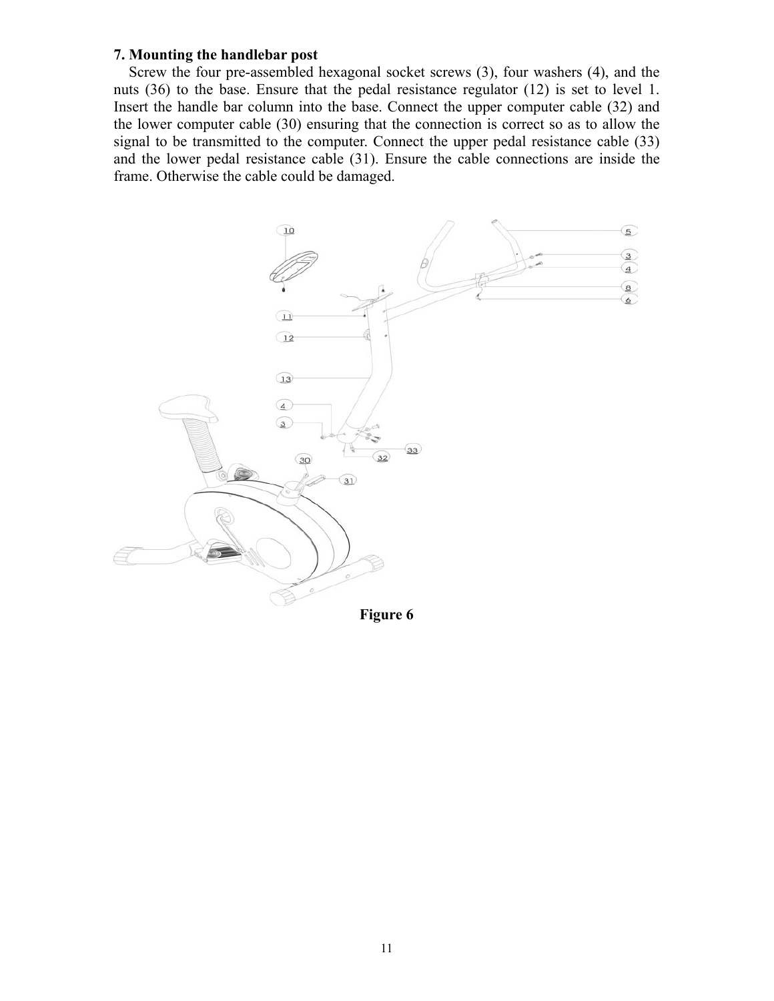#### **7. Mounting the handlebar post**

Screw the four pre-assembled hexagonal socket screws (3), four washers (4), and the nuts (36) to the base. Ensure that the pedal resistance regulator (12) is set to level 1. Insert the handle bar column into the base. Connect the upper computer cable (32) and the lower computer cable (30) ensuring that the connection is correct so as to allow the signal to be transmitted to the computer. Connect the upper pedal resistance cable (33) and the lower pedal resistance cable (31). Ensure the cable connections are inside the frame. Otherwise the cable could be damaged.



**Figure 6**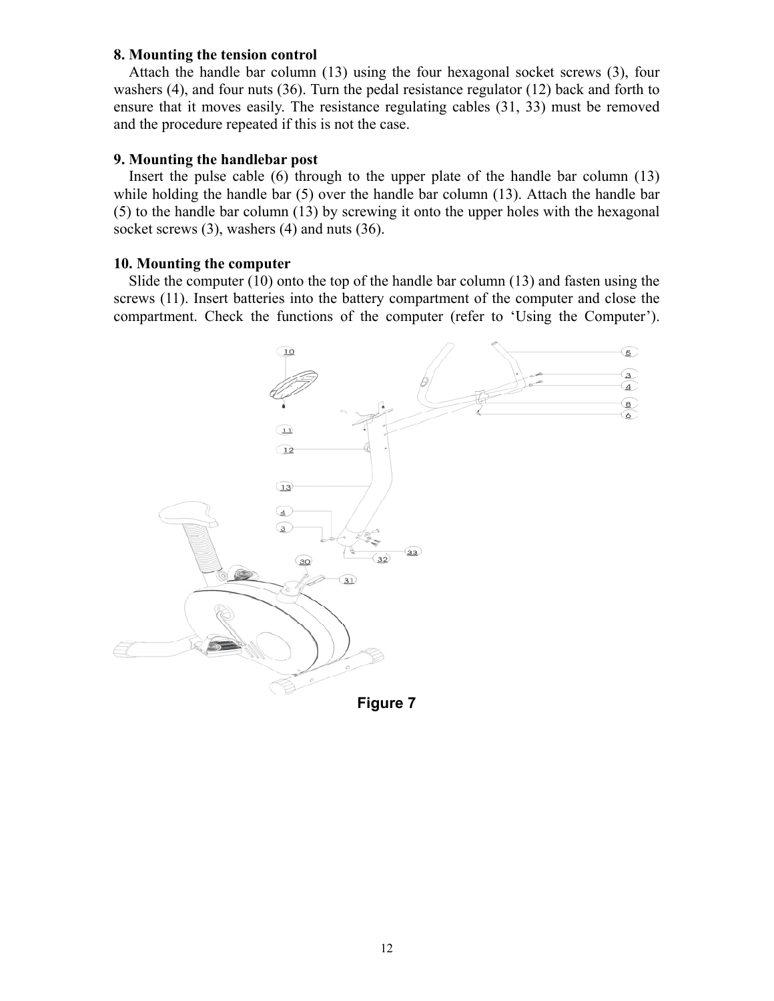#### **8. Mounting the tension control**

Attach the handle bar column (13) using the four hexagonal socket screws (3), four washers (4), and four nuts (36). Turn the pedal resistance regulator (12) back and forth to ensure that it moves easily. The resistance regulating cables (31, 33) must be removed and the procedure repeated if this is not the case.

#### **9. Mounting the handlebar post**

Insert the pulse cable  $(6)$  through to the upper plate of the handle bar column (13) while holding the handle bar (5) over the handle bar column (13). Attach the handle bar (5) to the handle bar column (13) by screwing it onto the upper holes with the hexagonal socket screws (3), washers (4) and nuts (36).

#### **10. Mounting the computer**

Slide the computer (10) onto the top of the handle bar column (13) and fasten using the screws (11). Insert batteries into the battery compartment of the computer and close the compartment. Check the functions of the computer (refer to 'Using the Computer').

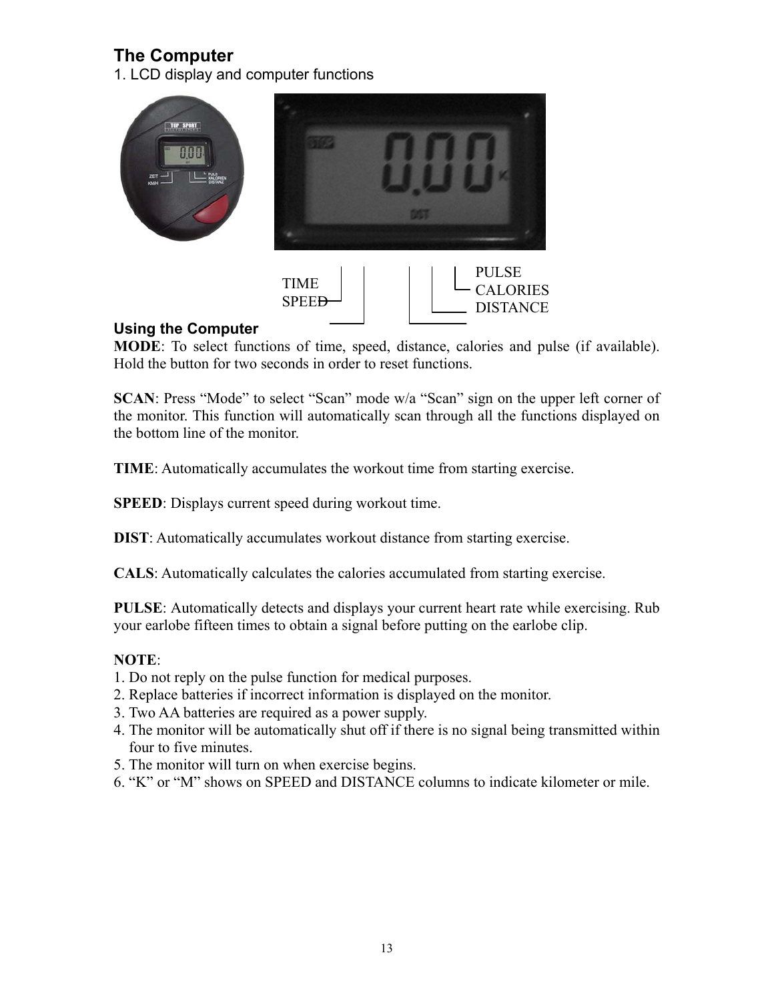## **The Computer**

1. LCD display and computer functions



**SPEED** 

## **Using the Computer**

**MODE**: To select functions of time, speed, distance, calories and pulse (if available). Hold the button for two seconds in order to reset functions.

DISTANCE

**SCAN**: Press "Mode" to select "Scan" mode w/a "Scan" sign on the upper left corner of the monitor. This function will automatically scan through all the functions displayed on the bottom line of the monitor.

**TIME**: Automatically accumulates the workout time from starting exercise.

**SPEED**: Displays current speed during workout time.

**DIST**: Automatically accumulates workout distance from starting exercise.

**CALS**: Automatically calculates the calories accumulated from starting exercise.

**PULSE**: Automatically detects and displays your current heart rate while exercising. Rub your earlobe fifteen times to obtain a signal before putting on the earlobe clip.

## **NOTE**:

- 1. Do not reply on the pulse function for medical purposes.
- 2. Replace batteries if incorrect information is displayed on the monitor.
- 3. Two AA batteries are required as a power supply.
- 4. The monitor will be automatically shut off if there is no signal being transmitted within four to five minutes.
- 5. The monitor will turn on when exercise begins.
- 6. "K" or "M" shows on SPEED and DISTANCE columns to indicate kilometer or mile.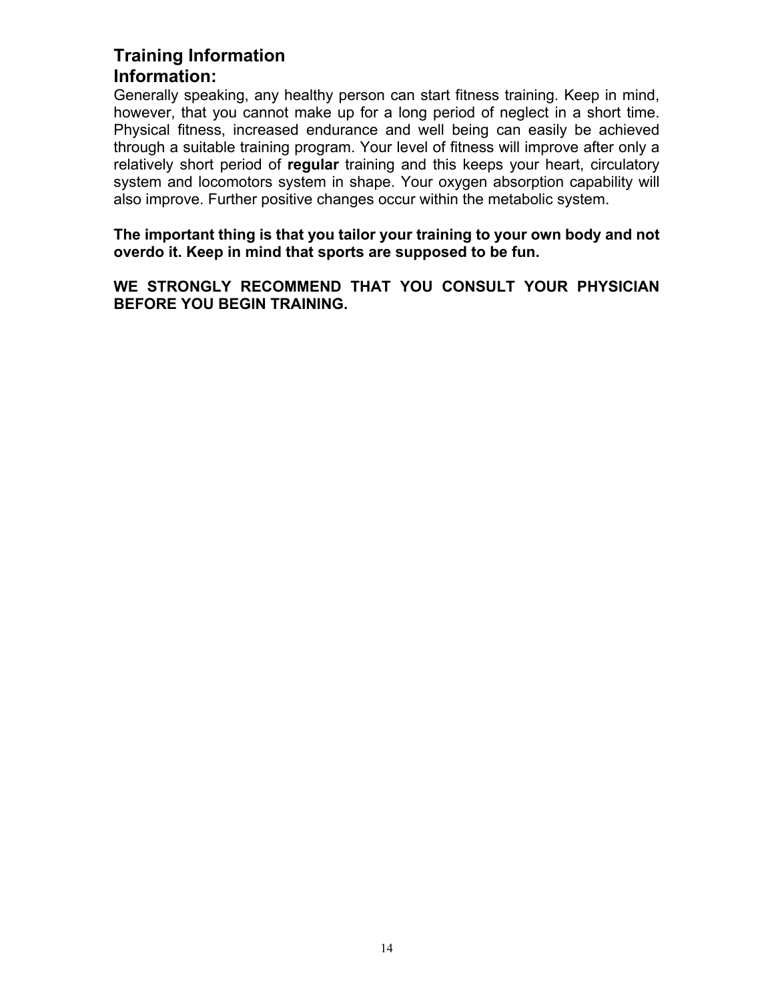## **Training Information Information:**

Generally speaking, any healthy person can start fitness training. Keep in mind, however, that you cannot make up for a long period of neglect in a short time. Physical fitness, increased endurance and well being can easily be achieved through a suitable training program. Your level of fitness will improve after only a relatively short period of **regular** training and this keeps your heart, circulatory system and locomotors system in shape. Your oxygen absorption capability will also improve. Further positive changes occur within the metabolic system.

**The important thing is that you tailor your training to your own body and not overdo it. Keep in mind that sports are supposed to be fun.** 

**WE STRONGLY RECOMMEND THAT YOU CONSULT YOUR PHYSICIAN BEFORE YOU BEGIN TRAINING.**